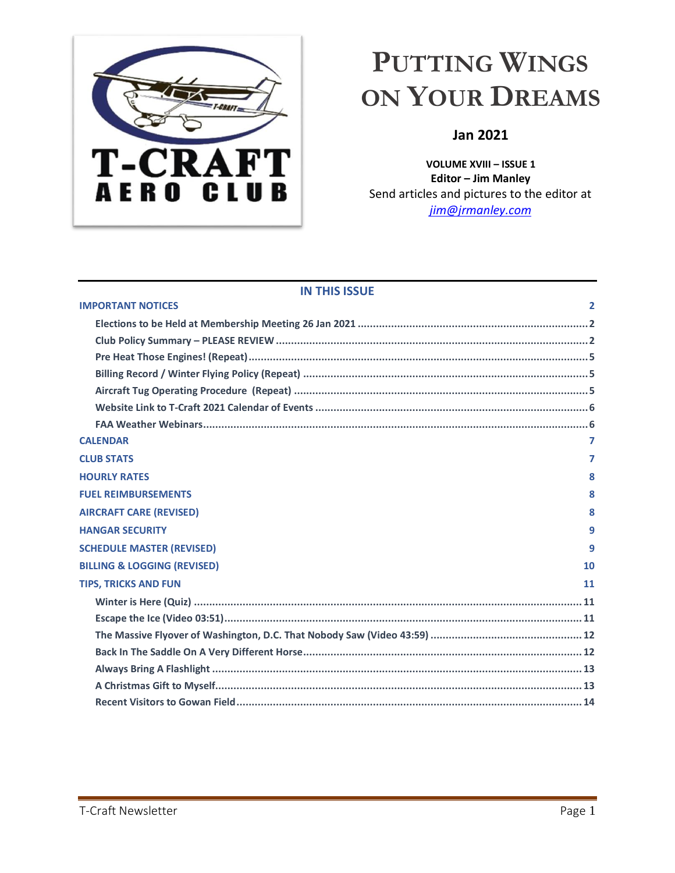

# <span id="page-0-1"></span>**PUTTING WINGS ON YOUR DREAMS**

# **Jan 2021**

**VOLUME XVIII – ISSUE 1 Editor – Jim Manley** Send articles and pictures to the editor at *[jim@jrmanley.com](mailto:jim@jrmanley.com)*

# **IN THIS ISSUE**

<span id="page-0-0"></span>

| <b>IMPORTANT NOTICES</b>               | 2              |
|----------------------------------------|----------------|
|                                        |                |
|                                        |                |
|                                        |                |
|                                        |                |
|                                        |                |
|                                        |                |
|                                        |                |
| <b>CALENDAR</b>                        | $\overline{7}$ |
| <b>CLUB STATS</b>                      | 7              |
| <b>HOURLY RATES</b>                    | 8              |
| <b>FUEL REIMBURSEMENTS</b>             | 8              |
| <b>AIRCRAFT CARE (REVISED)</b>         | 8              |
| <b>HANGAR SECURITY</b>                 | 9              |
| <b>SCHEDULE MASTER (REVISED)</b>       | 9              |
| <b>BILLING &amp; LOGGING (REVISED)</b> | 10             |
| <b>TIPS, TRICKS AND FUN</b>            | 11             |
|                                        |                |
|                                        |                |
|                                        |                |
|                                        |                |
|                                        |                |
|                                        |                |
|                                        |                |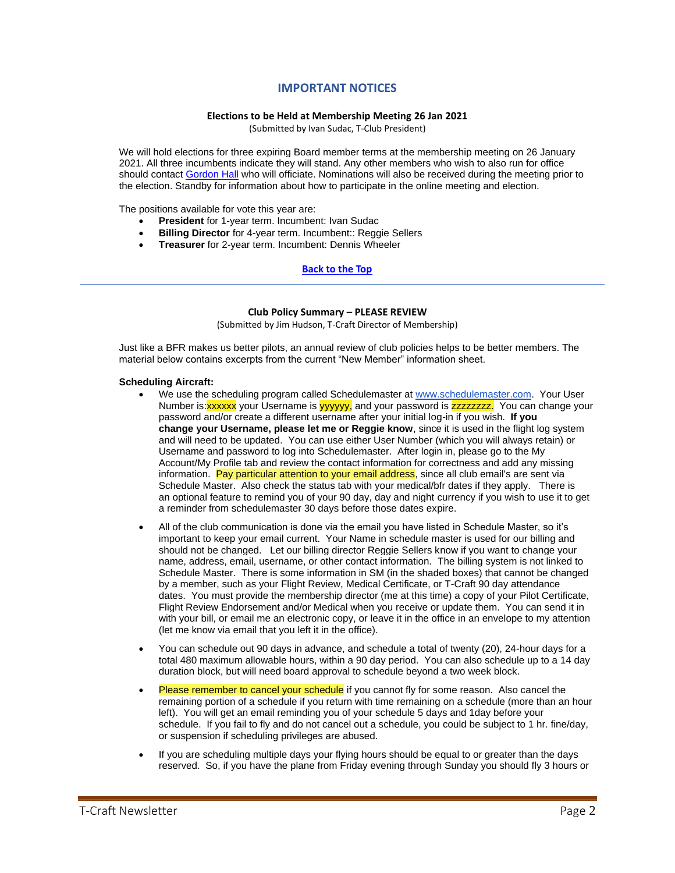# **IMPORTANT NOTICES**

#### **Elections to be Held at Membership Meeting 26 Jan 2021**

(Submitted by Ivan Sudac, T-Club President)

<span id="page-1-0"></span>We will hold elections for three expiring Board member terms at the membership meeting on 26 January 2021. All three incumbents indicate they will stand. Any other members who wish to also run for office should contac[t Gordon Hall](mailto:glh211@aol.com) who will officiate. Nominations will also be received during the meeting prior to the election. Standby for information about how to participate in the online meeting and election.

The positions available for vote this year are:

- **President** for 1-year term. Incumbent: Ivan Sudac
- **Billing Director** for 4-year term. Incumbent:: Reggie Sellers
- **Treasurer** for 2-year term. Incumbent: Dennis Wheeler

#### **[Back](#page-0-1) to the Top**

#### **Club Policy Summary – PLEASE REVIEW**

(Submitted by Jim Hudson, T-Craft Director of Membership)

<span id="page-1-1"></span>Just like a BFR makes us better pilots, an annual review of club policies helps to be better members. The material below contains excerpts from the current "New Member" information sheet.

#### **Scheduling Aircraft:**

- We use the scheduling program called Schedulemaster at [www.schedulemaster.com.](http://www.schedulemaster.com/) Your User Number is:**xxxxxx** your Username is yyyyyy, and your password is **zzzzzzzzz**. You can change your password and/or create a different username after your initial log-in if you wish. **If you change your Username, please let me or Reggie know**, since it is used in the flight log system and will need to be updated. You can use either User Number (which you will always retain) or Username and password to log into Schedulemaster. After login in, please go to the My Account/My Profile tab and review the contact information for correctness and add any missing information. Pay particular attention to your email address, since all club email's are sent via Schedule Master. Also check the status tab with your medical/bfr dates if they apply. There is an optional feature to remind you of your 90 day, day and night currency if you wish to use it to get a reminder from schedulemaster 30 days before those dates expire.
- All of the club communication is done via the email you have listed in Schedule Master, so it's important to keep your email current. Your Name in schedule master is used for our billing and should not be changed. Let our billing director Reggie Sellers know if you want to change your name, address, email, username, or other contact information. The billing system is not linked to Schedule Master. There is some information in SM (in the shaded boxes) that cannot be changed by a member, such as your Flight Review, Medical Certificate, or T-Craft 90 day attendance dates. You must provide the membership director (me at this time) a copy of your Pilot Certificate, Flight Review Endorsement and/or Medical when you receive or update them. You can send it in with your bill, or email me an electronic copy, or leave it in the office in an envelope to my attention (let me know via email that you left it in the office).
- You can schedule out 90 days in advance, and schedule a total of twenty (20), 24-hour days for a total 480 maximum allowable hours, within a 90 day period. You can also schedule up to a 14 day duration block, but will need board approval to schedule beyond a two week block.
- Please remember to cancel your schedule if you cannot fly for some reason. Also cancel the remaining portion of a schedule if you return with time remaining on a schedule (more than an hour left). You will get an email reminding you of your schedule 5 days and 1day before your schedule. If you fail to fly and do not cancel out a schedule, you could be subject to 1 hr. fine/day, or suspension if scheduling privileges are abused.
- If you are scheduling multiple days your flying hours should be equal to or greater than the days reserved. So, if you have the plane from Friday evening through Sunday you should fly 3 hours or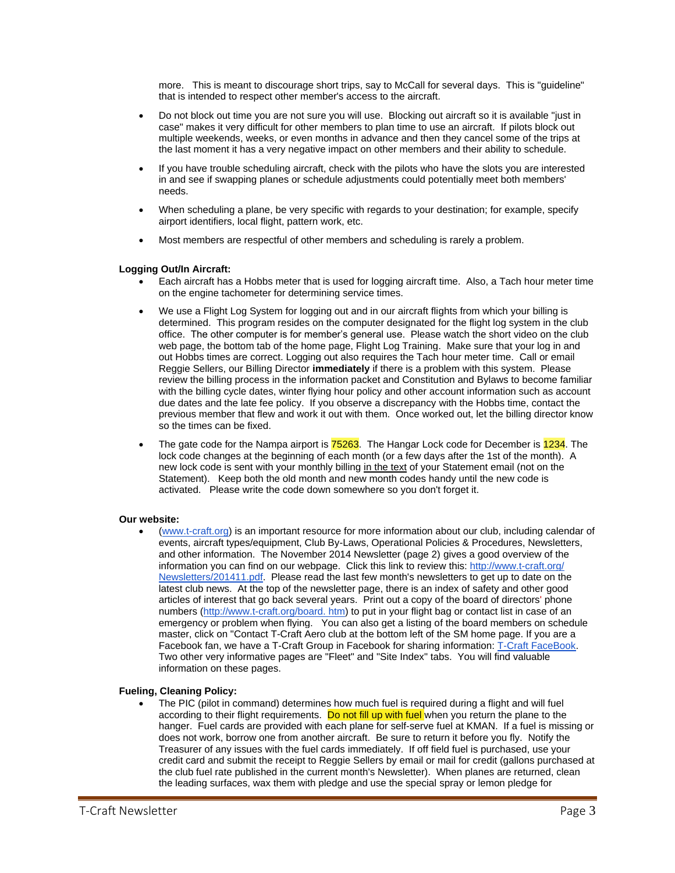more. This is meant to discourage short trips, say to McCall for several days. This is "guideline" that is intended to respect other member's access to the aircraft.

- Do not block out time you are not sure you will use. Blocking out aircraft so it is available "just in case" makes it very difficult for other members to plan time to use an aircraft. If pilots block out multiple weekends, weeks, or even months in advance and then they cancel some of the trips at the last moment it has a very negative impact on other members and their ability to schedule.
- If you have trouble scheduling aircraft, check with the pilots who have the slots you are interested in and see if swapping planes or schedule adjustments could potentially meet both members' needs.
- When scheduling a plane, be very specific with regards to your destination; for example, specify airport identifiers, local flight, pattern work, etc.
- Most members are respectful of other members and scheduling is rarely a problem.

### **Logging Out/In Aircraft:**

- Each aircraft has a Hobbs meter that is used for logging aircraft time. Also, a Tach hour meter time on the engine tachometer for determining service times.
- We use a Flight Log System for logging out and in our aircraft flights from which your billing is determined. This program resides on the computer designated for the flight log system in the club office. The other computer is for member's general use. Please watch the short video on the club web page, the bottom tab of the home page, Flight Log Training. Make sure that your log in and out Hobbs times are correct. Logging out also requires the Tach hour meter time. Call or email Reggie Sellers, our Billing Director **immediately** if there is a problem with this system. Please review the billing process in the information packet and Constitution and Bylaws to become familiar with the billing cycle dates, winter flying hour policy and other account information such as account due dates and the late fee policy. If you observe a discrepancy with the Hobbs time, contact the previous member that flew and work it out with them. Once worked out, let the billing director know so the times can be fixed.
- The gate code for the Nampa airport is **75263**. The Hangar Lock code for December is **1234**. The lock code changes at the beginning of each month (or a few days after the 1st of the month). A new lock code is sent with your monthly billing in the text of your Statement email (not on the Statement). Keep both the old month and new month codes handy until the new code is activated. Please write the code down somewhere so you don't forget it.

#### **Our website:**

• [\(www.t-craft.org\)](http://www.t-craft.org/) is an important resource for more information about our club, including calendar of events, aircraft types/equipment, Club By-Laws, Operational Policies & Procedures, Newsletters, and other information. The November 2014 Newsletter (page 2) gives a good overview of the information you can find on our webpage. Click this link to review this: [http://www.t-craft.org/](http://www.t-craft.org/Newsletters/201411.pdf)  [Newsletters/201411.pdf.](http://www.t-craft.org/Newsletters/201411.pdf) Please read the last few month's newsletters to get up to date on the latest club news. At the top of the newsletter page, there is an index of safety and other good articles of interest that go back several years. Print out a copy of the board of directors' phone numbers [\(http://www.t-craft.org/board. htm\)](http://www.t-craft.org/board.htm) to put in your flight bag or contact list in case of an emergency or problem when flying. You can also get a listing of the board members on schedule master, click on "Contact T-Craft Aero club at the bottom left of the SM home page. If you are a Facebook fan, we have a T-Craft Group in Facebook for sharing information: [T-Craft FaceBook.](https://www.facebook.com/groups/164768522373/) Two other very informative pages are "Fleet" and "Site Index" tabs. You will find valuable information on these pages.

### **Fueling, Cleaning Policy:**

The PIC (pilot in command) determines how much fuel is required during a flight and will fuel according to their flight requirements. Do not fill up with fuel when you return the plane to the hanger. Fuel cards are provided with each plane for self-serve fuel at KMAN. If a fuel is missing or does not work, borrow one from another aircraft. Be sure to return it before you fly. Notify the Treasurer of any issues with the fuel cards immediately. If off field fuel is purchased, use your credit card and submit the receipt to Reggie Sellers by email or mail for credit (gallons purchased at the club fuel rate published in the current month's Newsletter). When planes are returned, clean the leading surfaces, wax them with pledge and use the special spray or lemon pledge for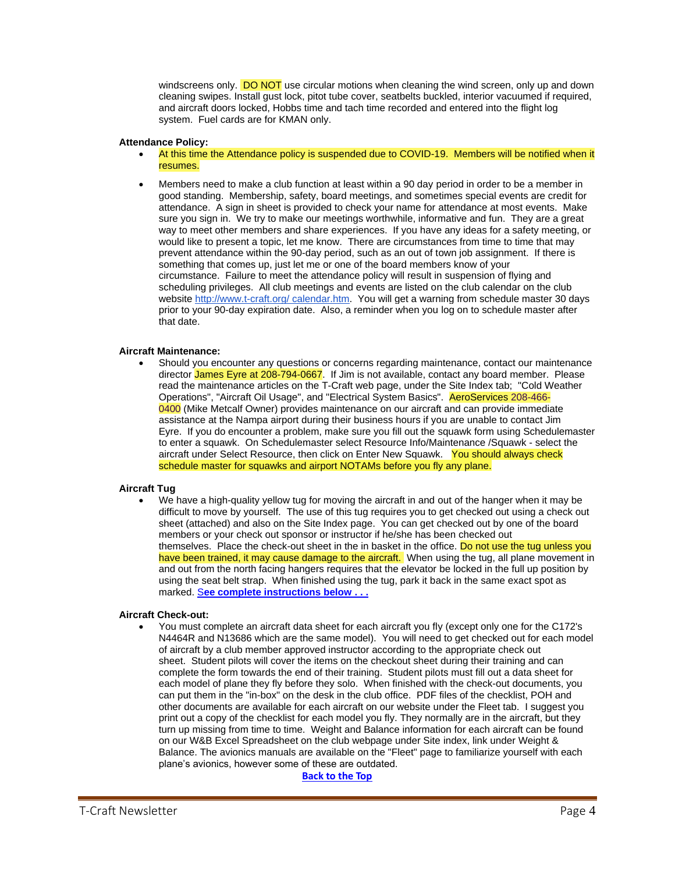windscreens only. **DO NOT** use circular motions when cleaning the wind screen, only up and down cleaning swipes. Install gust lock, pitot tube cover, seatbelts buckled, interior vacuumed if required, and aircraft doors locked, Hobbs time and tach time recorded and entered into the flight log system. Fuel cards are for KMAN only.

### **Attendance Policy:**

- At this time the Attendance policy is suspended due to COVID-19. Members will be notified when it resumes.
- Members need to make a club function at least within a 90 day period in order to be a member in good standing. Membership, safety, board meetings, and sometimes special events are credit for attendance. A sign in sheet is provided to check your name for attendance at most events. Make sure you sign in. We try to make our meetings worthwhile, informative and fun. They are a great way to meet other members and share experiences. If you have any ideas for a safety meeting, or would like to present a topic, let me know. There are circumstances from time to time that may prevent attendance within the 90-day period, such as an out of town job assignment. If there is something that comes up, just let me or one of the board members know of your circumstance. Failure to meet the attendance policy will result in suspension of flying and scheduling privileges. All club meetings and events are listed on the club calendar on the club website [http://www.t-craft.org/ calendar.htm.](http://www.t-craft.org/calendar.htm) You will get a warning from schedule master 30 days prior to your 90-day expiration date. Also, a reminder when you log on to schedule master after that date.

### **Aircraft Maintenance:**

• Should you encounter any questions or concerns regarding maintenance, contact our maintenance director James Eyre at 208-794-0667. If Jim is not available, contact any board member. Please read the maintenance articles on the T-Craft web page, under the Site Index tab; "Cold Weather Operations", "Aircraft Oil Usage", and "Electrical System Basics". AeroServices 208-466- 0400 (Mike Metcalf Owner) provides maintenance on our aircraft and can provide immediate assistance at the Nampa airport during their business hours if you are unable to contact Jim Eyre. If you do encounter a problem, make sure you fill out the squawk form using Schedulemaster to enter a squawk. On Schedulemaster select Resource Info/Maintenance /Squawk - select the aircraft under Select Resource, then click on Enter New Squawk. You should always check schedule master for squawks and airport NOTAMs before you fly any plane.

### **Aircraft Tug**

• We have a high-quality yellow tug for moving the aircraft in and out of the hanger when it may be difficult to move by yourself. The use of this tug requires you to get checked out using a check out sheet (attached) and also on the Site Index page. You can get checked out by one of the board members or your check out sponsor or instructor if he/she has been checked out themselves. Place the check-out sheet in the in basket in the office. Do not use the tug unless you have been trained, it may cause damage to the aircraft. When using the tug, all plane movement in and out from the north facing hangers requires that the elevator be locked in the full up position by using the seat belt strap. When finished using the tug, park it back in the same exact spot as marked. S**[ee complete instructions below . . .](#page-4-2)** 

### **Aircraft Check-out:**

• You must complete an aircraft data sheet for each aircraft you fly (except only one for the C172's N4464R and N13686 which are the same model). You will need to get checked out for each model of aircraft by a club member approved instructor according to the appropriate check out sheet. Student pilots will cover the items on the checkout sheet during their training and can complete the form towards the end of their training. Student pilots must fill out a data sheet for each model of plane they fly before they solo. When finished with the check-out documents, you can put them in the "in-box" on the desk in the club office. PDF files of the checklist, POH and other documents are available for each aircraft on our website under the Fleet tab. I suggest you print out a copy of the checklist for each model you fly. They normally are in the aircraft, but they turn up missing from time to time. Weight and Balance information for each aircraft can be found on our W&B Excel Spreadsheet on the club webpage under Site index, link under Weight & Balance. The avionics manuals are available on the "Fleet" page to familiarize yourself with each plane's avionics, however some of these are outdated.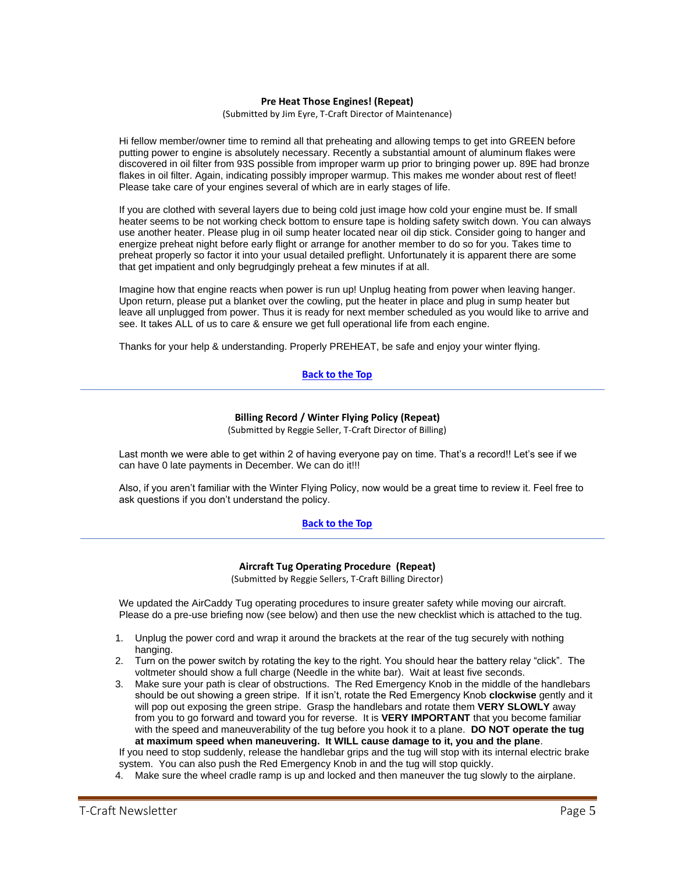### **Pre Heat Those Engines! (Repeat)**

(Submitted by Jim Eyre, T-Craft Director of Maintenance)

<span id="page-4-0"></span>Hi fellow member/owner time to remind all that preheating and allowing temps to get into GREEN before putting power to engine is absolutely necessary. Recently a substantial amount of aluminum flakes were discovered in oil filter from 93S possible from improper warm up prior to bringing power up. 89E had bronze flakes in oil filter. Again, indicating possibly improper warmup. This makes me wonder about rest of fleet! Please take care of your engines several of which are in early stages of life.

If you are clothed with several layers due to being cold just image how cold your engine must be. If small heater seems to be not working check bottom to ensure tape is holding safety switch down. You can always use another heater. Please plug in oil sump heater located near oil dip stick. Consider going to hanger and energize preheat night before early flight or arrange for another member to do so for you. Takes time to preheat properly so factor it into your usual detailed preflight. Unfortunately it is apparent there are some that get impatient and only begrudgingly preheat a few minutes if at all.

Imagine how that engine reacts when power is run up! Unplug heating from power when leaving hanger. Upon return, please put a blanket over the cowling, put the heater in place and plug in sump heater but leave all unplugged from power. Thus it is ready for next member scheduled as you would like to arrive and see. It takes ALL of us to care & ensure we get full operational life from each engine.

Thanks for your help & understanding. Properly PREHEAT, be safe and enjoy your winter flying.

# **[Back](#page-0-1) to the Top**

## **Billing Record / Winter Flying Policy (Repeat)**

(Submitted by Reggie Seller, T-Craft Director of Billing)

<span id="page-4-1"></span>Last month we were able to get within 2 of having everyone pay on time. That's a record!! Let's see if we can have 0 late payments in December. We can do it!!!

Also, if you aren't familiar with the Winter Flying Policy, now would be a great time to review it. Feel free to ask questions if you don't understand the policy.

### **[Back](#page-0-1) to the Top**

#### **Aircraft Tug Operating Procedure (Repeat)**

(Submitted by Reggie Sellers, T-Craft Billing Director)

<span id="page-4-2"></span>We updated the AirCaddy Tug operating procedures to insure greater safety while moving our aircraft. Please do a pre-use briefing now (see below) and then use the new checklist which is attached to the tug.

- 1. Unplug the power cord and wrap it around the brackets at the rear of the tug securely with nothing hanging.
- 2. Turn on the power switch by rotating the key to the right. You should hear the battery relay "click". The voltmeter should show a full charge (Needle in the white bar). Wait at least five seconds.
- 3. Make sure your path is clear of obstructions. The Red Emergency Knob in the middle of the handlebars should be out showing a green stripe. If it isn't, rotate the Red Emergency Knob **clockwise** gently and it will pop out exposing the green stripe. Grasp the handlebars and rotate them **VERY SLOWLY** away from you to go forward and toward you for reverse. It is **VERY IMPORTANT** that you become familiar with the speed and maneuverability of the tug before you hook it to a plane. **DO NOT operate the tug at maximum speed when maneuvering. It WILL cause damage to it, you and the plane**. If you need to stop suddenly, release the handlebar grips and the tug will stop with its internal electric brake

system. You can also push the Red Emergency Knob in and the tug will stop quickly.

4. Make sure the wheel cradle ramp is up and locked and then maneuver the tug slowly to the airplane.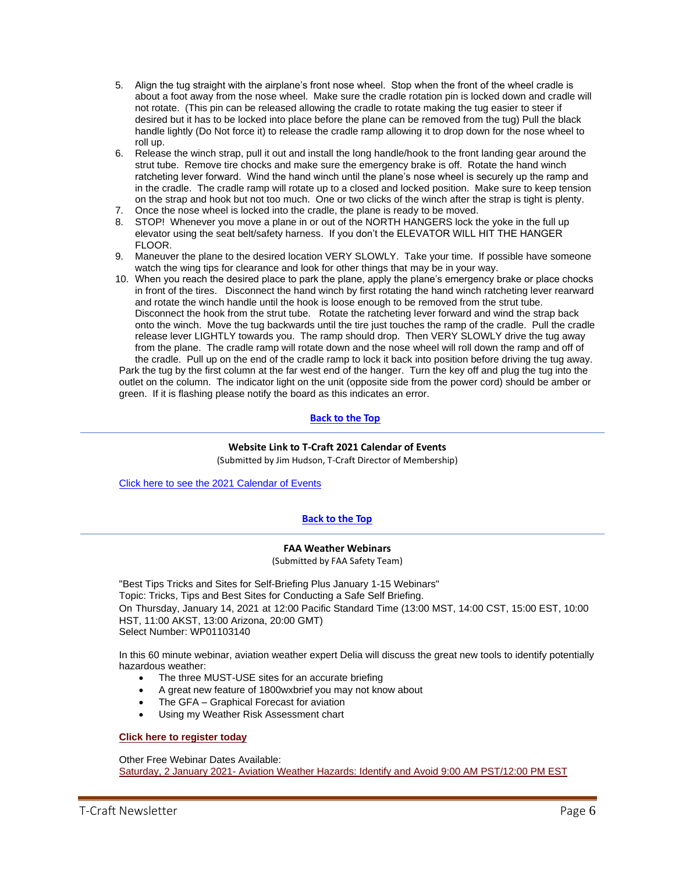- 5. Align the tug straight with the airplane's front nose wheel. Stop when the front of the wheel cradle is about a foot away from the nose wheel. Make sure the cradle rotation pin is locked down and cradle will not rotate. (This pin can be released allowing the cradle to rotate making the tug easier to steer if desired but it has to be locked into place before the plane can be removed from the tug) Pull the black handle lightly (Do Not force it) to release the cradle ramp allowing it to drop down for the nose wheel to roll up.
- 6. Release the winch strap, pull it out and install the long handle/hook to the front landing gear around the strut tube. Remove tire chocks and make sure the emergency brake is off. Rotate the hand winch ratcheting lever forward. Wind the hand winch until the plane's nose wheel is securely up the ramp and in the cradle. The cradle ramp will rotate up to a closed and locked position. Make sure to keep tension on the strap and hook but not too much. One or two clicks of the winch after the strap is tight is plenty.
- 7. Once the nose wheel is locked into the cradle, the plane is ready to be moved.
- 8. STOP! Whenever you move a plane in or out of the NORTH HANGERS lock the yoke in the full up elevator using the seat belt/safety harness. If you don't the ELEVATOR WILL HIT THE HANGER FLOOR.
- 9. Maneuver the plane to the desired location VERY SLOWLY. Take your time. If possible have someone watch the wing tips for clearance and look for other things that may be in your way.
- 10. When you reach the desired place to park the plane, apply the plane's emergency brake or place chocks in front of the tires. Disconnect the hand winch by first rotating the hand winch ratcheting lever rearward and rotate the winch handle until the hook is loose enough to be removed from the strut tube. Disconnect the hook from the strut tube. Rotate the ratcheting lever forward and wind the strap back onto the winch. Move the tug backwards until the tire just touches the ramp of the cradle. Pull the cradle release lever LIGHTLY towards you. The ramp should drop. Then VERY SLOWLY drive the tug away from the plane. The cradle ramp will rotate down and the nose wheel will roll down the ramp and off of the cradle. Pull up on the end of the cradle ramp to lock it back into position before driving the tug away. Park the tug by the first column at the far west end of the hanger. Turn the key off and plug the tug into the

outlet on the column. The indicator light on the unit (opposite side from the power cord) should be amber or green. If it is flashing please notify the board as this indicates an error.

# **[Back to the Top](#page-0-1)**

# **Website Link to T-Craft 2021 Calendar of Events**

(Submitted by Jim Hudson, T-Craft Director of Membership)

<span id="page-5-0"></span>[Click here to see the 2021 Calendar of Events](http://www.t-craft.org/calendar.htm)

# **[Back](#page-0-1) to the Top**

### **FAA Weather Webinars**

(Submitted by FAA Safety Team)

<span id="page-5-1"></span>"Best Tips Tricks and Sites for Self-Briefing Plus January 1-15 Webinars" Topic: Tricks, Tips and Best Sites for Conducting a Safe Self Briefing. On Thursday, January 14, 2021 at 12:00 Pacific Standard Time (13:00 MST, 14:00 CST, 15:00 EST, 10:00 HST, 11:00 AKST, 13:00 Arizona, 20:00 GMT) Select Number: WP01103140

In this 60 minute webinar, aviation weather expert Delia will discuss the great new tools to identify potentially hazardous weather:

- The three MUST-USE sites for an accurate briefing
- A great new feature of 1800wxbrief you may not know about
- The GFA Graphical Forecast for aviation
- Using my Weather Risk Assessment chart

## **[Click here to register](http://www.fly-rite.com/free-webinars) today**

Other Free Webinar Dates Available: Saturday, 2 January 2021- [Aviation Weather Hazards: Identify and Avoid 9:00 AM PST/12:00 PM EST](https://www.faasafety.gov/SPANS/event_details.aspx?eid=103132)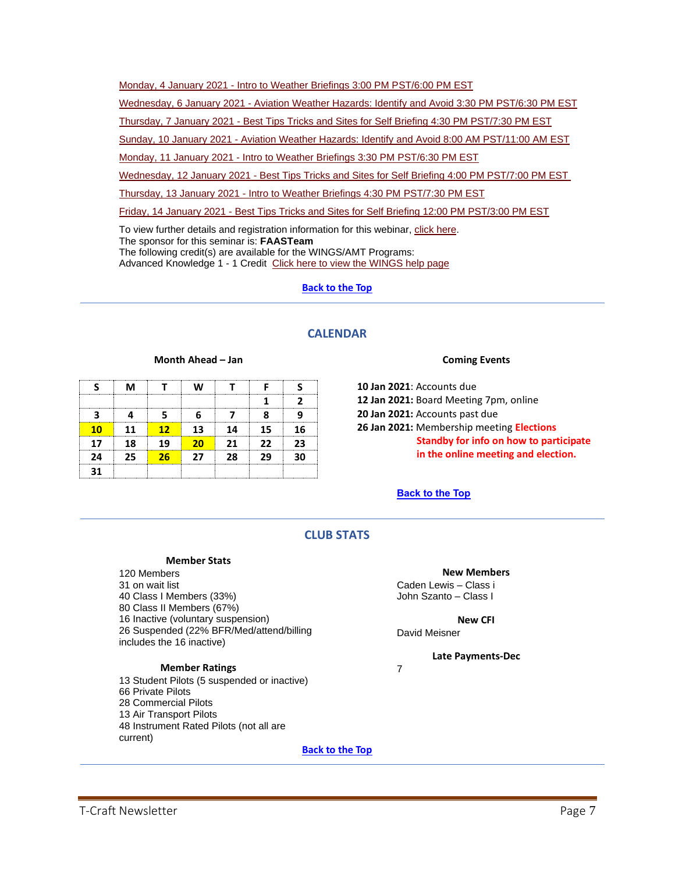Monday, 4 January 2021 - [Intro to Weather Briefings 3:00 PM PST/6:00 PM EST](https://www.faasafety.gov/SPANS/event_details.aspx?eid=103133)

Wednesday, 6 January 2021 - [Aviation Weather Hazards: Identify and Avoid 3:30 PM PST/6:30 PM EST](https://www.faasafety.gov/SPANS/event_details.aspx?eid=103134)

Thursday, 7 January 2021 - [Best Tips Tricks and Sites for Self Briefing 4:30 PM PST/7:30 PM EST](https://www.faasafety.gov/SPANS/event_details.aspx?eid=103135)

Sunday, 10 January 2021 - [Aviation Weather Hazards: Identify and Avoid 8:00 AM PST/11:00 AM EST](https://www.faasafety.gov/SPANS/event_details.aspx?eid=103136)

Monday, 11 January 2021 - [Intro to Weather Briefings 3:30 PM PST/6:30 PM EST](https://www.faasafety.gov/SPANS/event_details.aspx?eid=103137)

Wednesday, 12 January 2021 - [Best Tips Tricks and Sites for Self Briefing 4:00 PM PST/7:00 PM EST](https://www.faasafety.gov/SPANS/event_details.aspx?eid=103138)

Thursday, 13 January 2021 - [Intro to Weather Briefings 4:30 PM PST/7:30 PM EST](https://www.faasafety.gov/SPANS/event_details.aspx?eid=103139)

Friday, 14 January 2021 - [Best Tips Tricks and Sites for Self Briefing 12:00 PM PST/3:00 PM EST](https://www.faasafety.gov/SPANS/event_details.aspx?eid=103140)

To view further details and registration information for this webinar, [click here.](http://www.faasafety.gov/SPANS/event_details.aspx?eid=103140) The sponsor for this seminar is: **FAASTeam** The following credit(s) are available for the WINGS/AMT Programs: Advanced Knowledge 1 - 1 Credit [Click here to view the WINGS help page](https://www.faasafety.gov/OnlineHelp/Default.aspx?page=/WINGS/pub/default.aspx)

# **[Back](#page-0-1) to the Top**

# **CALENDAR**

### **Month Ahead – Jan**

<span id="page-6-0"></span>

|    | м  |            | w  |    |    |    |
|----|----|------------|----|----|----|----|
|    |    |            |    |    |    |    |
|    |    |            |    |    |    |    |
| 10 | 11 | $12 \ \nu$ | 13 | 14 | 15 | 16 |
| 17 | 18 | 19         | 20 | 21 | 22 | 23 |
| 24 | 25 | 26         | 27 | 28 | 29 | 30 |
| 31 |    |            |    |    |    |    |

## **Coming Events**

**10 Jan 2021**: Accounts due

**12 Jan 2021:** Board Meeting 7pm, online

**20 Jan 2021:** Accounts past due

**26 Jan 2021:** Membership meeting **Elections Standby for info on how to participate in the online meeting and election.**

# **[Back](#page-0-1) to the Top**

# **CLUB STATS**

### **Member Stats**

<span id="page-6-1"></span>120 Members on wait list Class I Members (33%) Class II Members (67%) Inactive (voluntary suspension) Suspended (22% BFR/Med/attend/billing includes the 16 inactive)

# **Member Ratings**

 Student Pilots (5 suspended or inactive) Private Pilots Commercial Pilots Air Transport Pilots Instrument Rated Pilots (not all are current) **[Back to the Top](#page-0-1)**

### **New Members**

Caden Lewis – Class i John Szanto – Class I

**New CFI** David Meisner

**Late Payments-Dec**

7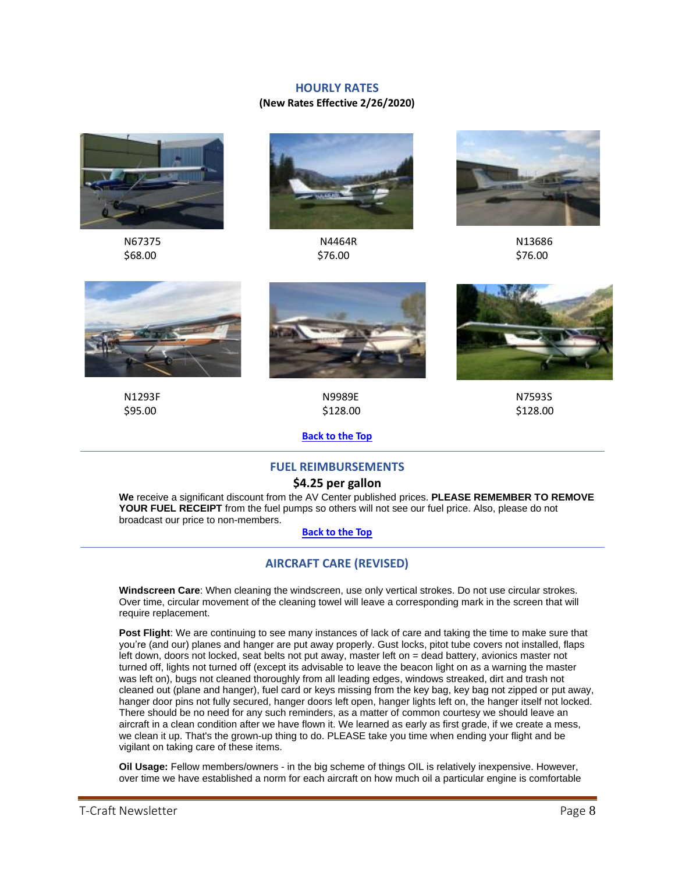# **HOURLY RATES**

# **(New Rates Effective 2/26/2020)**

<span id="page-7-0"></span>



 N67375 N4464R N13686  $$68.00$  \$76.00 \$76.00







N1293F N9989E N7593S

 $$95.00$  \$128.00 \$128.00

**[Back](#page-0-1) to the Top**

# **FUEL REIMBURSEMENTS**

# **\$4.25 per gallon**

<span id="page-7-1"></span>**We** receive a significant discount from the AV Center published prices. **PLEASE REMEMBER TO REMOVE YOUR FUEL RECEIPT** from the fuel pumps so others will not see our fuel price. Also, please do not broadcast our price to non-members.

## **[Back](#page-0-1) to the Top**

# **AIRCRAFT CARE (REVISED)**

<span id="page-7-2"></span>**Windscreen Care**: When cleaning the windscreen, use only vertical strokes. Do not use circular strokes. Over time, circular movement of the cleaning towel will leave a corresponding mark in the screen that will require replacement.

**Post Flight**: We are continuing to see many instances of lack of care and taking the time to make sure that you're (and our) planes and hanger are put away properly. Gust locks, pitot tube covers not installed, flaps left down, doors not locked, seat belts not put away, master left on = dead battery, avionics master not turned off, lights not turned off (except its advisable to leave the beacon light on as a warning the master was left on), bugs not cleaned thoroughly from all leading edges, windows streaked, dirt and trash not cleaned out (plane and hanger), fuel card or keys missing from the key bag, key bag not zipped or put away, hanger door pins not fully secured, hanger doors left open, hanger lights left on, the hanger itself not locked. There should be no need for any such reminders, as a matter of common courtesy we should leave an aircraft in a clean condition after we have flown it. We learned as early as first grade, if we create a mess, we clean it up. That's the grown-up thing to do. PLEASE take you time when ending your flight and be vigilant on taking care of these items.

**Oil Usage:** Fellow members/owners - in the big scheme of things OIL is relatively inexpensive. However, over time we have established a norm for each aircraft on how much oil a particular engine is comfortable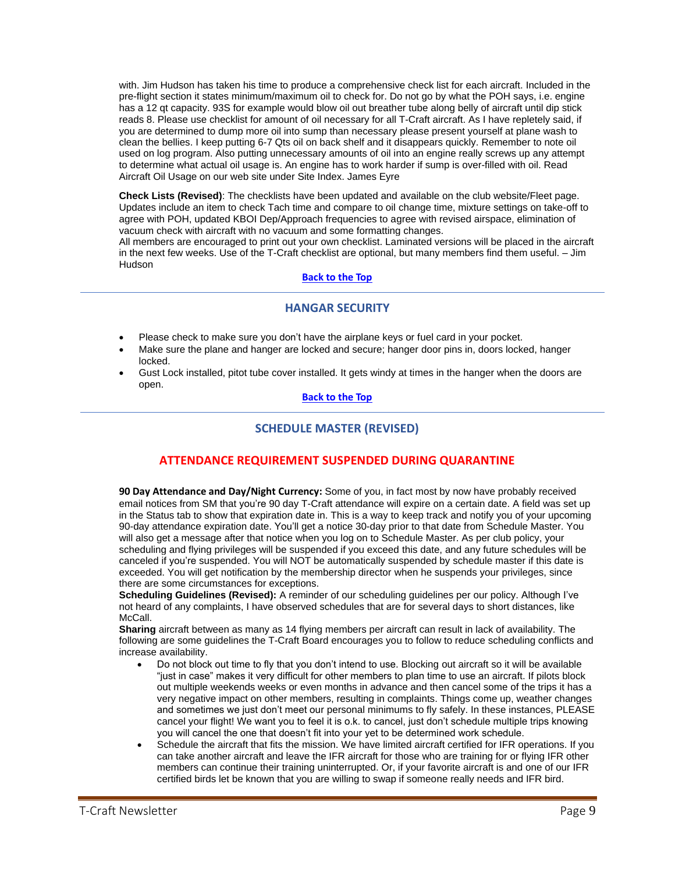with. Jim Hudson has taken his time to produce a comprehensive check list for each aircraft. Included in the pre-flight section it states minimum/maximum oil to check for. Do not go by what the POH says, i.e. engine has a 12 qt capacity. 93S for example would blow oil out breather tube along belly of aircraft until dip stick reads 8. Please use checklist for amount of oil necessary for all T-Craft aircraft. As I have repletely said, if you are determined to dump more oil into sump than necessary please present yourself at plane wash to clean the bellies. I keep putting 6-7 Qts oil on back shelf and it disappears quickly. Remember to note oil used on log program. Also putting unnecessary amounts of oil into an engine really screws up any attempt to determine what actual oil usage is. An engine has to work harder if sump is over-filled with oil. Read Aircraft Oil Usage on our web site under Site Index. James Eyre

**Check Lists (Revised)**: The checklists have been updated and available on the club website/Fleet page. Updates include an item to check Tach time and compare to oil change time, mixture settings on take-off to agree with POH, updated KBOI Dep/Approach frequencies to agree with revised airspace, elimination of vacuum check with aircraft with no vacuum and some formatting changes.

All members are encouraged to print out your own checklist. Laminated versions will be placed in the aircraft in the next few weeks. Use of the T-Craft checklist are optional, but many members find them useful. – Jim Hudson

## **[Back](#page-0-1) to the Top**

# **HANGAR SECURITY**

- <span id="page-8-0"></span>• Please check to make sure you don't have the airplane keys or fuel card in your pocket.
- Make sure the plane and hanger are locked and secure; hanger door pins in, doors locked, hanger locked.
- <span id="page-8-1"></span>• Gust Lock installed, pitot tube cover installed. It gets windy at times in the hanger when the doors are open.

## **[Back](#page-0-1) to the Top**

# **SCHEDULE MASTER (REVISED)**

# **ATTENDANCE REQUIREMENT SUSPENDED DURING QUARANTINE**

**90 Day Attendance and Day/Night Currency:** Some of you, in fact most by now have probably received email notices from SM that you're 90 day T-Craft attendance will expire on a certain date. A field was set up in the Status tab to show that expiration date in. This is a way to keep track and notify you of your upcoming 90-day attendance expiration date. You'll get a notice 30-day prior to that date from Schedule Master. You will also get a message after that notice when you log on to Schedule Master. As per club policy, your scheduling and flying privileges will be suspended if you exceed this date, and any future schedules will be canceled if you're suspended. You will NOT be automatically suspended by schedule master if this date is exceeded. You will get notification by the membership director when he suspends your privileges, since there are some circumstances for exceptions.

**Scheduling Guidelines (Revised):** A reminder of our scheduling guidelines per our policy. Although I've not heard of any complaints, I have observed schedules that are for several days to short distances, like McCall.

**Sharing** aircraft between as many as 14 flying members per aircraft can result in lack of availability. The following are some guidelines the T-Craft Board encourages you to follow to reduce scheduling conflicts and increase availability.

- Do not block out time to fly that you don't intend to use. Blocking out aircraft so it will be available "just in case" makes it very difficult for other members to plan time to use an aircraft. If pilots block out multiple weekends weeks or even months in advance and then cancel some of the trips it has a very negative impact on other members, resulting in complaints. Things come up, weather changes and sometimes we just don't meet our personal minimums to fly safely. In these instances, PLEASE cancel your flight! We want you to feel it is o.k. to cancel, just don't schedule multiple trips knowing you will cancel the one that doesn't fit into your yet to be determined work schedule.
- Schedule the aircraft that fits the mission. We have limited aircraft certified for IFR operations. If you can take another aircraft and leave the IFR aircraft for those who are training for or flying IFR other members can continue their training uninterrupted. Or, if your favorite aircraft is and one of our IFR certified birds let be known that you are willing to swap if someone really needs and IFR bird.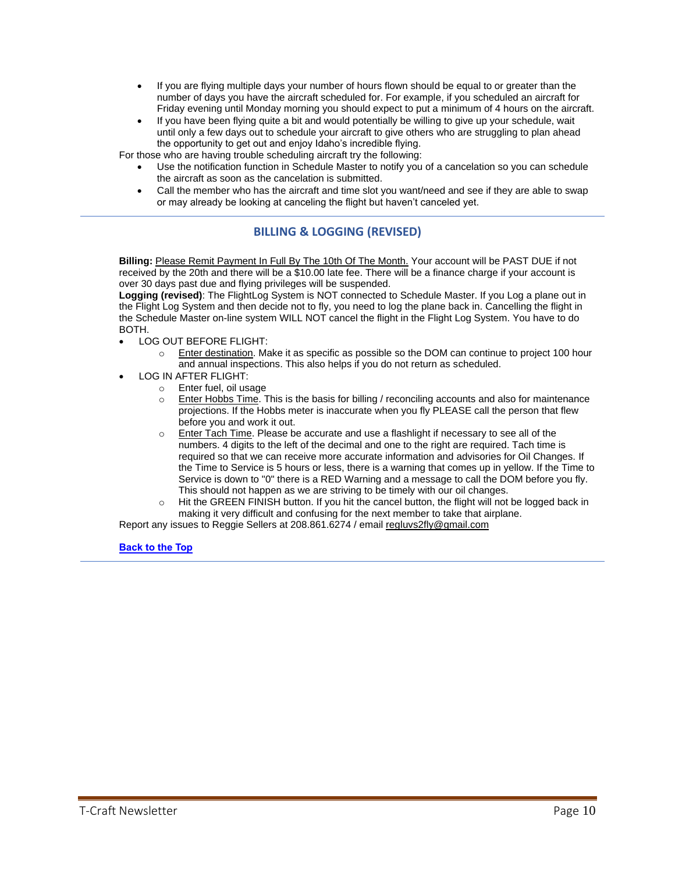- If you are flying multiple days your number of hours flown should be equal to or greater than the number of days you have the aircraft scheduled for. For example, if you scheduled an aircraft for Friday evening until Monday morning you should expect to put a minimum of 4 hours on the aircraft.
- If you have been flying quite a bit and would potentially be willing to give up your schedule, wait until only a few days out to schedule your aircraft to give others who are struggling to plan ahead the opportunity to get out and enjoy Idaho's incredible flying.

For those who are having trouble scheduling aircraft try the following:

- Use the notification function in Schedule Master to notify you of a cancelation so you can schedule the aircraft as soon as the cancelation is submitted.
- Call the member who has the aircraft and time slot you want/need and see if they are able to swap or may already be looking at canceling the flight but haven't canceled yet.

# **BILLING & LOGGING (REVISED)**

<span id="page-9-0"></span>**Billing:** Please Remit Payment In Full By The 10th Of The Month. Your account will be PAST DUE if not received by the 20th and there will be a \$10.00 late fee. There will be a finance charge if your account is over 30 days past due and flying privileges will be suspended.

**Logging (revised)**: The FlightLog System is NOT connected to Schedule Master. If you Log a plane out in the Flight Log System and then decide not to fly, you need to log the plane back in. Cancelling the flight in the Schedule Master on-line system WILL NOT cancel the flight in the Flight Log System. You have to do BOTH.

- LOG OUT BEFORE FLIGHT:
	- $\circ$  Enter destination. Make it as specific as possible so the DOM can continue to project 100 hour and annual inspections. This also helps if you do not return as scheduled.
- LOG IN AFTER FLIGHT:
	- o Enter fuel, oil usage
	- $\circ$  Enter Hobbs Time. This is the basis for billing / reconciling accounts and also for maintenance projections. If the Hobbs meter is inaccurate when you fly PLEASE call the person that flew before you and work it out.
	- $\circ$  Enter Tach Time. Please be accurate and use a flashlight if necessary to see all of the numbers. 4 digits to the left of the decimal and one to the right are required. Tach time is required so that we can receive more accurate information and advisories for Oil Changes. If the Time to Service is 5 hours or less, there is a warning that comes up in yellow. If the Time to Service is down to "0" there is a RED Warning and a message to call the DOM before you fly. This should not happen as we are striving to be timely with our oil changes.
	- o Hit the GREEN FINISH button. If you hit the cancel button, the flight will not be logged back in making it very difficult and confusing for the next member to take that airplane.

Report any issues to Reggie Sellers at 208.861.6274 / email [regluvs2fly@gmail.com](mailto:regluvs2fly@gmail.com)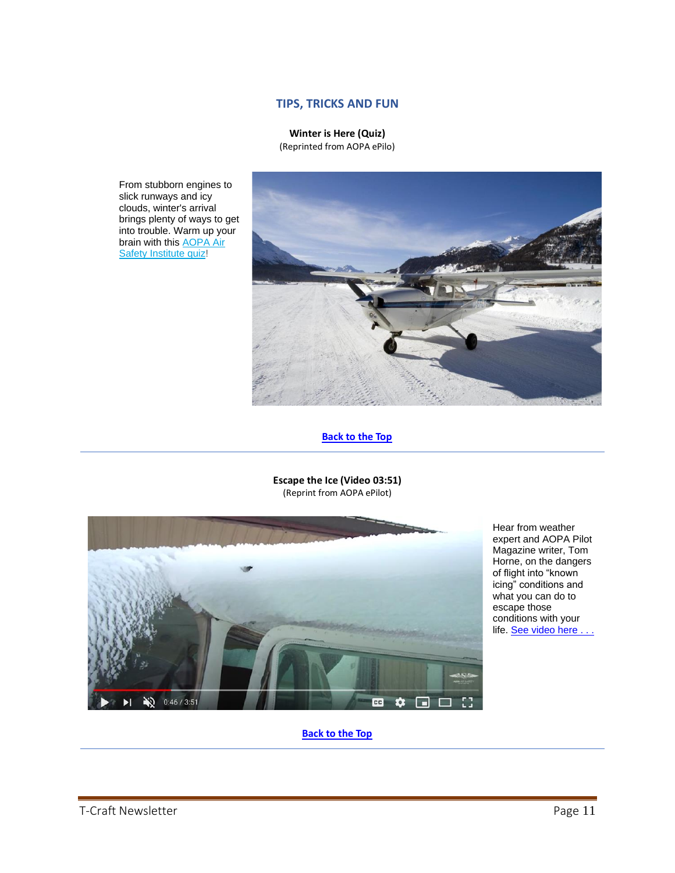# **TIPS, TRICKS AND FUN**

**Winter is Here (Quiz)** (Reprinted from AOPA ePilo)

<span id="page-10-1"></span><span id="page-10-0"></span>From stubborn engines to slick runways and icy clouds, winter's arrival brings plenty of ways to get into trouble. Warm up your brain with this [AOPA Air](https://click.mail.aopa.org/?qs=fac97446458bb17e7fb3e8e47679e2ab2c75cdcd3237c32cf26514fc2c286d4e8d1ca34340f7339d42aad8f1de7905b40098c31bfbba9b3b)  [Safety Institute quiz!](https://click.mail.aopa.org/?qs=fac97446458bb17e7fb3e8e47679e2ab2c75cdcd3237c32cf26514fc2c286d4e8d1ca34340f7339d42aad8f1de7905b40098c31bfbba9b3b)



# **[Back](#page-0-1) to the Top**

**Escape the Ice (Video 03:51)** (Reprint from AOPA ePilot)

<span id="page-10-2"></span>

Hear from weather expert and AOPA Pilot Magazine writer, Tom Horne, on the dangers of flight into "known icing" conditions and what you can do to escape those conditions with your life. See video here .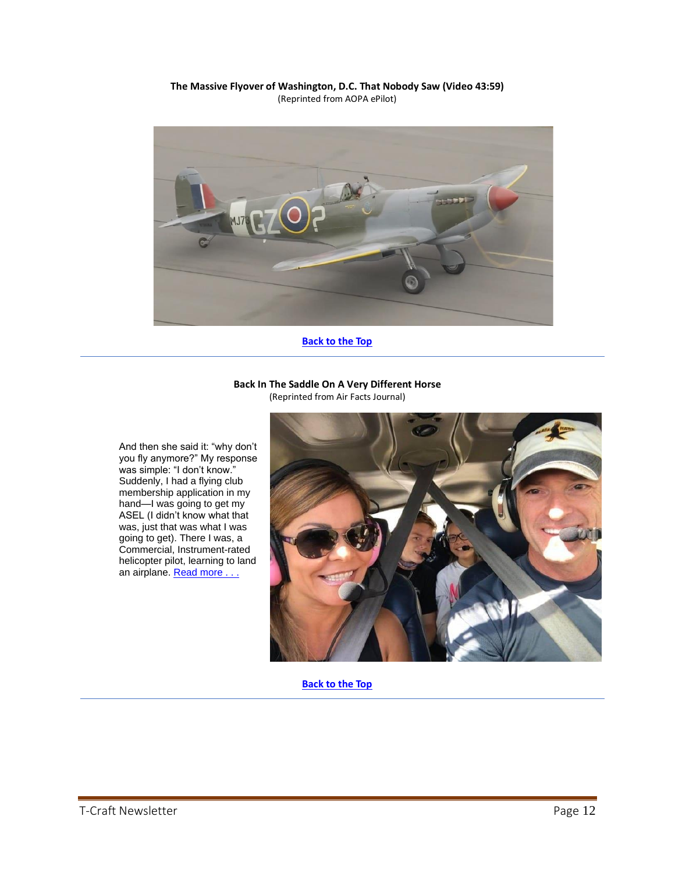### **The Massive Flyover of Washington, D.C. That Nobody Saw (Video 43:59)** (Reprinted from AOPA ePilot)

<span id="page-11-0"></span>

**[Back](#page-0-1) to the Top**

### **Back In The Saddle On A Very Different Horse** (Reprinted from Air Facts Journal)

<span id="page-11-1"></span>And then she said it: "why don't you fly anymore?" My response was simple: "I don't know." Suddenly, I had a flying club membership application in my hand—I was going to get my ASEL (I didn't know what that was, just that was what I was going to get). There I was, a Commercial, Instrument-rated helicopter pilot, learning to land an airplane. Read more .

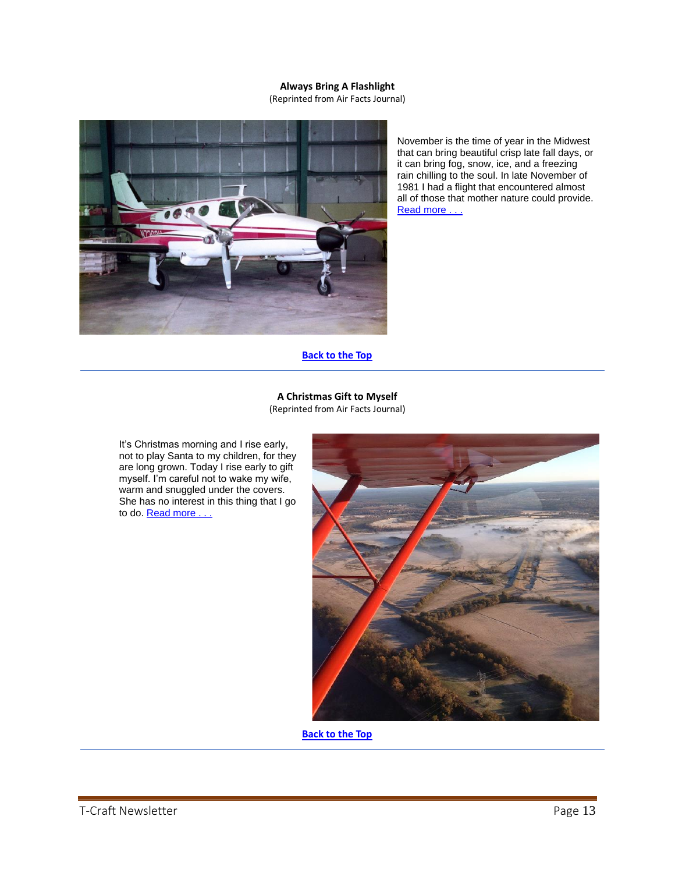# **Always Bring A Flashlight**

(Reprinted from Air Facts Journal)

<span id="page-12-0"></span>

November is the time of year in the Midwest that can bring beautiful crisp late fall days, or it can bring fog, snow, ice, and a freezing rain chilling to the soul. In late November of 1981 I had a flight that encountered almost all of those that mother nature could provide. Read more . . .

**[Back](#page-0-1) to the Top**

## **A Christmas Gift to Myself**

(Reprinted from Air Facts Journal)

<span id="page-12-1"></span>It's Christmas morning and I rise early, not to play Santa to my children, for they are long grown. Today I rise early to gift myself. I'm careful not to wake my wife, warm and snuggled under the covers. She has no interest in this thing that I go to do. **Read more** .